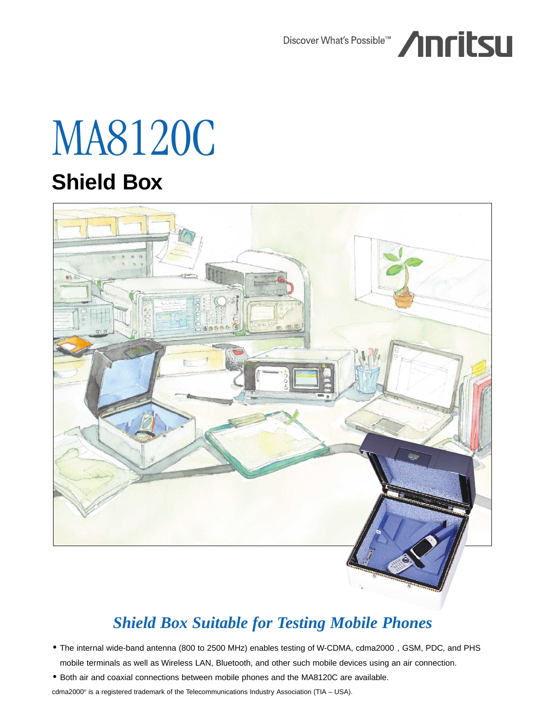

# MA8120C **Shield Box**



## *Shield Box Suitable for Testing Mobile Phones*

- The internal wide-band antenna (800 to 2500 MHz) enables testing of W-CDMA, cdma2000®, GSM, PDC, and PHS mobile terminals as well as Wireless LAN, Bluetooth, and other such mobile devices using an air connection.
- Both air and coaxial connections between mobile phones and the MA8120C are available.

cdma2000® is a registered trademark of the Telecommunications Industry Association (TIA – USA).